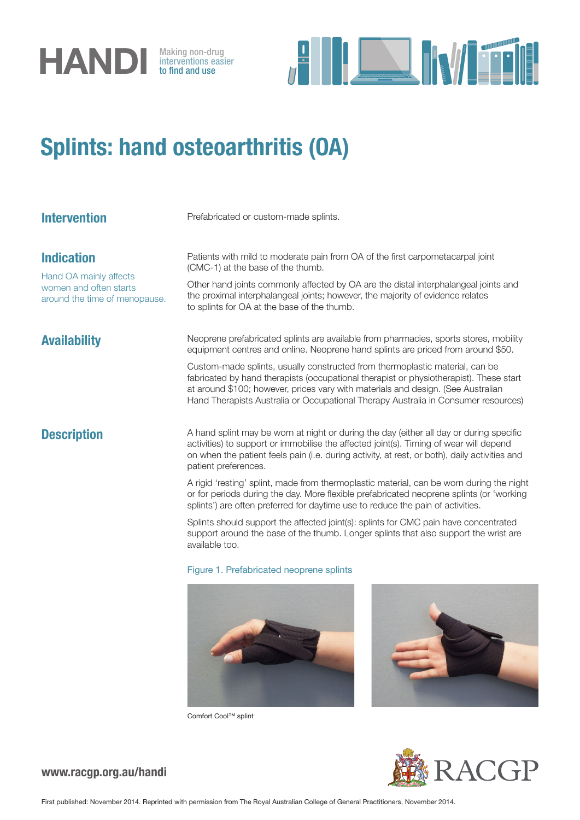

interventions easier to find and use



# Splints: hand osteoarthritis (OA)

| <b>Intervention</b>                                                                                    | Prefabricated or custom-made splints.                                                                                                                                                                                                                                                                                                                                                                                                                                                                                         |
|--------------------------------------------------------------------------------------------------------|-------------------------------------------------------------------------------------------------------------------------------------------------------------------------------------------------------------------------------------------------------------------------------------------------------------------------------------------------------------------------------------------------------------------------------------------------------------------------------------------------------------------------------|
| <b>Indication</b><br>Hand OA mainly affects<br>women and often starts<br>around the time of menopause. | Patients with mild to moderate pain from OA of the first carpometacarpal joint<br>(CMC-1) at the base of the thumb.<br>Other hand joints commonly affected by OA are the distal interphalangeal joints and<br>the proximal interphalangeal joints; however, the majority of evidence relates<br>to splints for OA at the base of the thumb.                                                                                                                                                                                   |
| <b>Availability</b>                                                                                    | Neoprene prefabricated splints are available from pharmacies, sports stores, mobility<br>equipment centres and online. Neoprene hand splints are priced from around \$50.<br>Custom-made splints, usually constructed from thermoplastic material, can be<br>fabricated by hand therapists (occupational therapist or physiotherapist). These start<br>at around \$100; however, prices vary with materials and design. (See Australian<br>Hand Therapists Australia or Occupational Therapy Australia in Consumer resources) |
| <b>Description</b>                                                                                     | A hand splint may be worn at night or during the day (either all day or during specific<br>activities) to support or immobilise the affected joint(s). Timing of wear will depend<br>on when the patient feels pain (i.e. during activity, at rest, or both), daily activities and<br>patient preferences.                                                                                                                                                                                                                    |
|                                                                                                        | A rigid 'resting' splint, made from thermoplastic material, can be worn during the night<br>or for periods during the day. More flexible prefabricated neoprene splints (or 'working<br>splints') are often preferred for daytime use to reduce the pain of activities.                                                                                                                                                                                                                                                       |

Splints should support the affected joint(s): splints for CMC pain have concentrated support around the base of the thumb. Longer splints that also support the wrist are available too.

### Figure 1. Prefabricated neoprene splints





Comfort Cool™ splint



## www.racgp.org.au/handi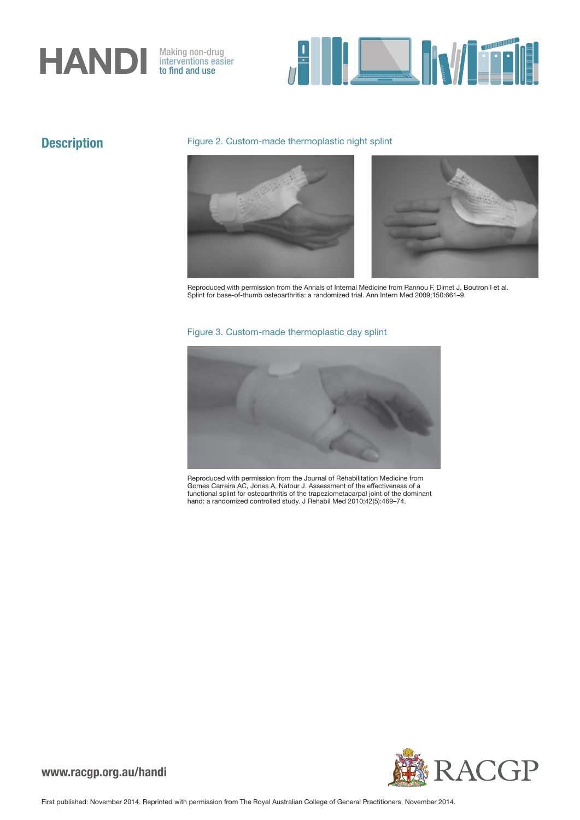# **HANDI** Making non-drug<br>to find and use

interventions easier to find and use



# **Description**

### Figure 2. Custom-made thermoplastic night splint



Reproduced with permission from the Annals of Internal Medicine from Rannou F, Dimet J, Boutron I et al. Splint for base-of-thumb osteoarthritis: a randomized trial. Ann Intern Med 2009;150:661–9.

### Figure 3. Custom-made thermoplastic day splint



Reproduced with permission from the Journal of Rehabilitation Medicine from Gomes Carreira AC, Jones A, Natour J. Assessment of the effectiveness of a functional splint for osteoarthritis of the trapeziometacarpal joint of the dominant hand: a randomized controlled study. J Rehabil Med 2010;42(5):469–74.



www.racgp.org.au/handi